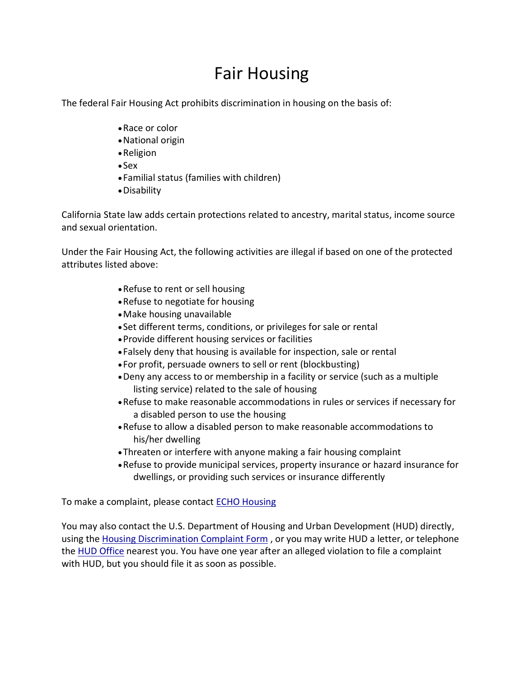## Fair Housing

The federal Fair Housing Act prohibits discrimination in housing on the basis of:

- •Race or color
- •National origin
- •Religion
- Sex
- Familial status (families with children)
- •Disability

California State law adds certain protections related to ancestry, marital status, income source and sexual orientation.

Under the Fair Housing Act, the following activities are illegal if based on one of the protected attributes listed above:

- •Refuse to rent or sell housing
- •Refuse to negotiate for housing
- •Make housing unavailable
- Set different terms, conditions, or privileges for sale or rental
- •Provide different housing services or facilities
- Falsely deny that housing is available for inspection, sale or rental
- For profit, persuade owners to sell or rent (blockbusting)
- •Deny any access to or membership in a facility or service (such as a multiple listing service) related to the sale of housing
- •Refuse to make reasonable accommodations in rules or services if necessary for a disabled person to use the housing
- •Refuse to allow a disabled person to make reasonable accommodations to his/her dwelling
- •Threaten or interfere with anyone making a fair housing complaint
- •Refuse to provide municipal services, property insurance or hazard insurance for dwellings, or providing such services or insurance differently

To make a complaint, please contact **ECHO Housing** 

You may also contact the U.S. Department of Housing and Urban Development (HUD) directly, using the [Housing Discrimination Complaint Form](http://www.hud.gov/complaints/housediscrim.cfm) , or you may write HUD a letter, or telephone the [HUD Office](http://portal.hud.gov/hudportal/HUD/program_offices/fair_housing_equal_opp/aboutfheo/fhhubs) nearest you. You have one year after an alleged violation to file a complaint with HUD, but you should file it as soon as possible.